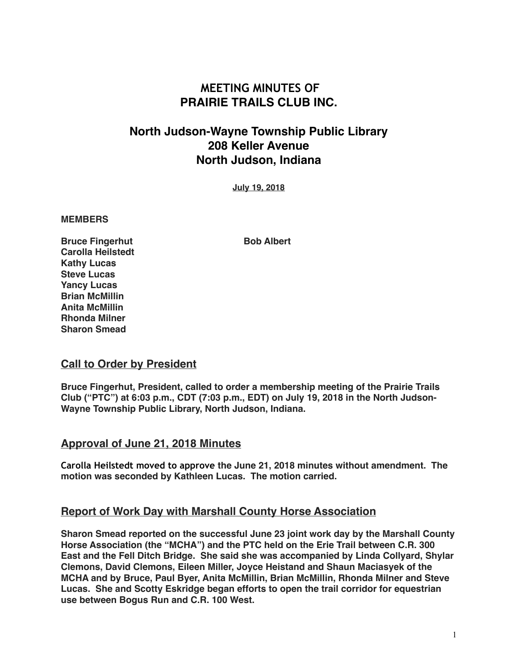# **MEETING MINUTES OF PRAIRIE TRAILS CLUB INC.**

# **North Judson-Wayne Township Public Library 208 Keller Avenue North Judson, Indiana**

**July 19, 2018**

#### **MEMBERS**

**Bruce Fingerhut Bob Albert Carolla Heilstedt Kathy Lucas Steve Lucas Yancy Lucas Brian McMillin Anita McMillin Rhonda Milner Sharon Smead**

### **Call to Order by President**

**Bruce Fingerhut, President, called to order a membership meeting of the Prairie Trails Club ("PTC") at 6:03 p.m., CDT (7:03 p.m., EDT) on July 19, 2018 in the North Judson-Wayne Township Public Library, North Judson, Indiana.**

#### **Approval of June 21, 2018 Minutes**

**Carolla Heilstedt moved to approve the June 21, 2018 minutes without amendment. The motion was seconded by Kathleen Lucas. The motion carried.**

### **Report of Work Day with Marshall County Horse Association**

**Sharon Smead reported on the successful June 23 joint work day by the Marshall County Horse Association (the "MCHA") and the PTC held on the Erie Trail between C.R. 300 East and the Fell Ditch Bridge. She said she was accompanied by Linda Collyard, Shylar Clemons, David Clemons, Eileen Miller, Joyce Heistand and Shaun Maciasyek of the MCHA and by Bruce, Paul Byer, Anita McMillin, Brian McMillin, Rhonda Milner and Steve Lucas. She and Scotty Eskridge began efforts to open the trail corridor for equestrian use between Bogus Run and C.R. 100 West.**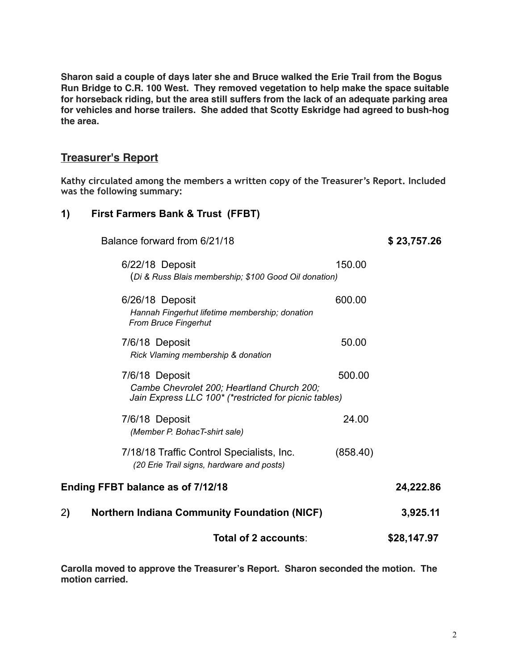**Sharon said a couple of days later she and Bruce walked the Erie Trail from the Bogus Run Bridge to C.R. 100 West. They removed vegetation to help make the space suitable for horseback riding, but the area still suffers from the lack of an adequate parking area for vehicles and horse trailers. She added that Scotty Eskridge had agreed to bush-hog the area.**

### **Treasurer's Report**

**Kathy circulated among the members a written copy of the Treasurer's Report. Included was the following summary:**

#### **1) First Farmers Bank & Trust (FFBT)**

|                                   | Balance forward from 6/21/18                                                                                          |          | \$23,757.26 |
|-----------------------------------|-----------------------------------------------------------------------------------------------------------------------|----------|-------------|
|                                   | 6/22/18 Deposit<br>(Di & Russ Blais membership; \$100 Good Oil donation)                                              | 150.00   |             |
|                                   | 6/26/18 Deposit<br>Hannah Fingerhut lifetime membership; donation<br><b>From Bruce Fingerhut</b>                      | 600.00   |             |
|                                   | 7/6/18 Deposit<br>Rick Vlaming membership & donation                                                                  | 50.00    |             |
|                                   | 7/6/18 Deposit<br>Cambe Chevrolet 200; Heartland Church 200;<br>Jain Express LLC 100* (*restricted for picnic tables) | 500.00   |             |
|                                   | 7/6/18 Deposit<br>(Member P. BohacT-shirt sale)                                                                       | 24.00    |             |
|                                   | 7/18/18 Traffic Control Specialists, Inc.<br>(20 Erie Trail signs, hardware and posts)                                | (858.40) |             |
| Ending FFBT balance as of 7/12/18 | 24,222.86                                                                                                             |          |             |
| 2)                                | <b>Northern Indiana Community Foundation (NICF)</b>                                                                   |          | 3,925.11    |
|                                   | Total of 2 accounts:                                                                                                  |          | \$28,147.97 |

**Carolla moved to approve the Treasurer's Report. Sharon seconded the motion. The motion carried.**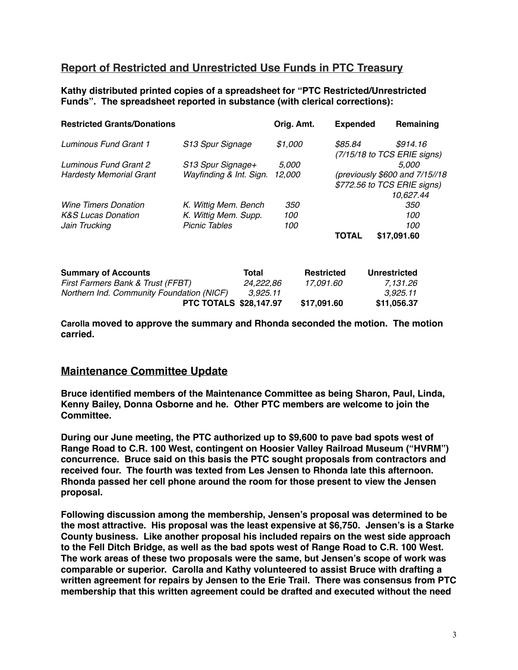## **Report of Restricted and Unrestricted Use Funds in PTC Treasury**

**Kathy distributed printed copies of a spreadsheet for "PTC Restricted/Unrestricted Funds". The spreadsheet reported in substance (with clerical corrections):**

| <b>Restricted Grants/Donations</b>        |                         |  | Orig. Amt.        |  | <b>Expended</b>     |          | Remaining                      |
|-------------------------------------------|-------------------------|--|-------------------|--|---------------------|----------|--------------------------------|
| Luminous Fund Grant 1<br>S13 Spur Signage |                         |  | \$1,000           |  | \$85.84             |          | \$914.16                       |
|                                           |                         |  |                   |  |                     |          | (7/15/18 to TCS ERIE signs)    |
| Luminous Fund Grant 2                     | S13 Spur Signage+       |  | 5,000             |  |                     |          | 5.000                          |
| <b>Hardesty Memorial Grant</b>            | Wayfinding & Int. Sign. |  | 12,000            |  |                     |          | (previously \$600 and 7/15//18 |
|                                           |                         |  |                   |  |                     |          | \$772.56 to TCS ERIE signs)    |
|                                           |                         |  |                   |  |                     |          | 10,627.44                      |
| <b>Wine Timers Donation</b>               | K. Wittig Mem. Bench    |  | <i>350</i>        |  |                     |          | 350                            |
| <b>K&amp;S Lucas Donation</b>             | K. Wittig Mem. Supp.    |  | 100               |  |                     |          | 100                            |
| Jain Trucking                             | <b>Picnic Tables</b>    |  | 100               |  |                     |          | 100                            |
|                                           |                         |  |                   |  | <b>TOTAL</b>        |          | \$17,091.60                    |
| <b>Summary of Accounts</b>                | Total                   |  | <b>Restricted</b> |  | <b>Unrestricted</b> |          |                                |
| First Farmers Bank & Trust (FFBT)         | 24,222,86               |  | 17,091.60         |  |                     | 7,131.26 |                                |
| Northern Ind. Community Foundation (NICF) | 3,925.11                |  |                   |  |                     | 3,925.11 |                                |

**Carolla moved to approve the summary and Rhonda seconded the motion. The motion carried.**

**PTC TOTALS \$28,147.97 \$17,091.60 \$11,056.37**

#### **Maintenance Committee Update**

**Bruce identified members of the Maintenance Committee as being Sharon, Paul, Linda, Kenny Bailey, Donna Osborne and he. Other PTC members are welcome to join the Committee.**

**During our June meeting, the PTC authorized up to \$9,600 to pave bad spots west of Range Road to C.R. 100 West, contingent on Hoosier Valley Railroad Museum ("HVRM") concurrence. Bruce said on this basis the PTC sought proposals from contractors and received four. The fourth was texted from Les Jensen to Rhonda late this afternoon. Rhonda passed her cell phone around the room for those present to view the Jensen proposal.**

**Following discussion among the membership, Jensen's proposal was determined to be the most attractive. His proposal was the least expensive at \$6,750. Jensen's is a Starke County business. Like another proposal his included repairs on the west side approach to the Fell Ditch Bridge, as well as the bad spots west of Range Road to C.R. 100 West. The work areas of these two proposals were the same, but Jensen's scope of work was comparable or superior. Carolla and Kathy volunteered to assist Bruce with drafting a written agreement for repairs by Jensen to the Erie Trail. There was consensus from PTC membership that this written agreement could be drafted and executed without the need**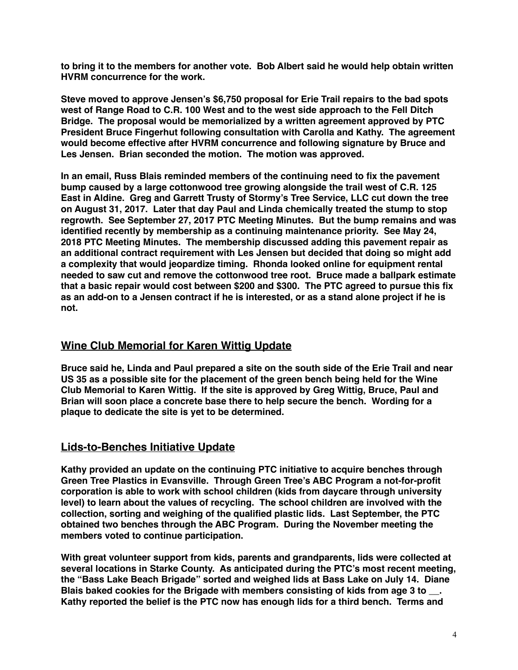**to bring it to the members for another vote. Bob Albert said he would help obtain written HVRM concurrence for the work.**

**Steve moved to approve Jensen's \$6,750 proposal for Erie Trail repairs to the bad spots west of Range Road to C.R. 100 West and to the west side approach to the Fell Ditch Bridge. The proposal would be memorialized by a written agreement approved by PTC President Bruce Fingerhut following consultation with Carolla and Kathy. The agreement would become effective after HVRM concurrence and following signature by Bruce and Les Jensen. Brian seconded the motion. The motion was approved.**

**In an email, Russ Blais reminded members of the continuing need to fix the pavement bump caused by a large cottonwood tree growing alongside the trail west of C.R. 125 East in Aldine. Greg and Garrett Trusty of Stormy's Tree Service, LLC cut down the tree on August 31, 2017. Later that day Paul and Linda chemically treated the stump to stop regrowth. See September 27, 2017 PTC Meeting Minutes. But the bump remains and was identified recently by membership as a continuing maintenance priority. See May 24, 2018 PTC Meeting Minutes. The membership discussed adding this pavement repair as an additional contract requirement with Les Jensen but decided that doing so might add a complexity that would jeopardize timing. Rhonda looked online for equipment rental needed to saw cut and remove the cottonwood tree root. Bruce made a ballpark estimate that a basic repair would cost between \$200 and \$300. The PTC agreed to pursue this fix as an add-on to a Jensen contract if he is interested, or as a stand alone project if he is not.**

## **Wine Club Memorial for Karen Wittig Update**

**Bruce said he, Linda and Paul prepared a site on the south side of the Erie Trail and near US 35 as a possible site for the placement of the green bench being held for the Wine Club Memorial to Karen Wittig. If the site is approved by Greg Wittig, Bruce, Paul and Brian will soon place a concrete base there to help secure the bench. Wording for a plaque to dedicate the site is yet to be determined.**

### **Lids-to-Benches Initiative Update**

**Kathy provided an update on the continuing PTC initiative to acquire benches through Green Tree Plastics in Evansville. Through Green Tree's ABC Program a not-for-profit corporation is able to work with school children (kids from daycare through university level) to learn about the values of recycling. The school children are involved with the collection, sorting and weighing of the qualified plastic lids. Last September, the PTC obtained two benches through the ABC Program. During the November meeting the members voted to continue participation.**

**With great volunteer support from kids, parents and grandparents, lids were collected at several locations in Starke County. As anticipated during the PTC's most recent meeting, the "Bass Lake Beach Brigade" sorted and weighed lids at Bass Lake on July 14. Diane Blais baked cookies for the Brigade with members consisting of kids from age 3 to \_\_. Kathy reported the belief is the PTC now has enough lids for a third bench. Terms and**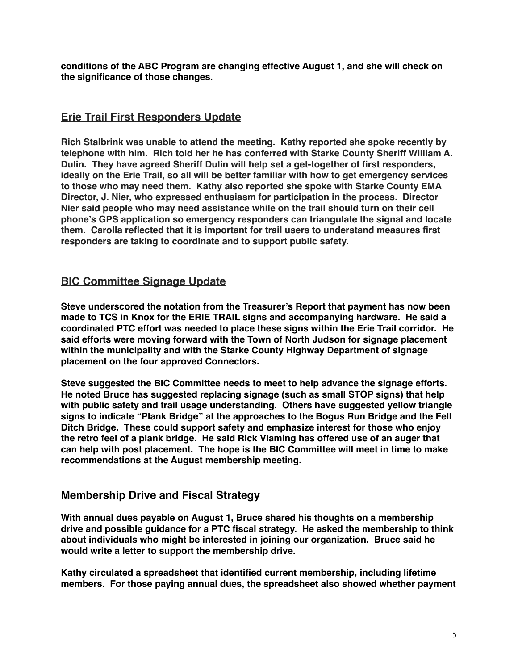**conditions of the ABC Program are changing effective August 1, and she will check on the significance of those changes.**

## **Erie Trail First Responders Update**

**Rich Stalbrink was unable to attend the meeting. Kathy reported she spoke recently by telephone with him. Rich told her he has conferred with Starke County Sheriff William A. Dulin. They have agreed Sheriff Dulin will help set a get-together of first responders, ideally on the Erie Trail, so all will be better familiar with how to get emergency services to those who may need them. Kathy also reported she spoke with Starke County EMA Director, J. Nier, who expressed enthusiasm for participation in the process. Director Nier said people who may need assistance while on the trail should turn on their cell phone's GPS application so emergency responders can triangulate the signal and locate them. Carolla reflected that it is important for trail users to understand measures first responders are taking to coordinate and to support public safety.**

## **BIC Committee Signage Update**

**Steve underscored the notation from the Treasurer's Report that payment has now been made to TCS in Knox for the ERIE TRAIL signs and accompanying hardware. He said a coordinated PTC effort was needed to place these signs within the Erie Trail corridor. He said efforts were moving forward with the Town of North Judson for signage placement within the municipality and with the Starke County Highway Department of signage placement on the four approved Connectors.**

**Steve suggested the BIC Committee needs to meet to help advance the signage efforts. He noted Bruce has suggested replacing signage (such as small STOP signs) that help with public safety and trail usage understanding. Others have suggested yellow triangle signs to indicate "Plank Bridge" at the approaches to the Bogus Run Bridge and the Fell Ditch Bridge. These could support safety and emphasize interest for those who enjoy the retro feel of a plank bridge. He said Rick Vlaming has offered use of an auger that can help with post placement. The hope is the BIC Committee will meet in time to make recommendations at the August membership meeting.** 

## **Membership Drive and Fiscal Strategy**

**With annual dues payable on August 1, Bruce shared his thoughts on a membership drive and possible guidance for a PTC fiscal strategy. He asked the membership to think about individuals who might be interested in joining our organization. Bruce said he would write a letter to support the membership drive.** 

**Kathy circulated a spreadsheet that identified current membership, including lifetime members. For those paying annual dues, the spreadsheet also showed whether payment**